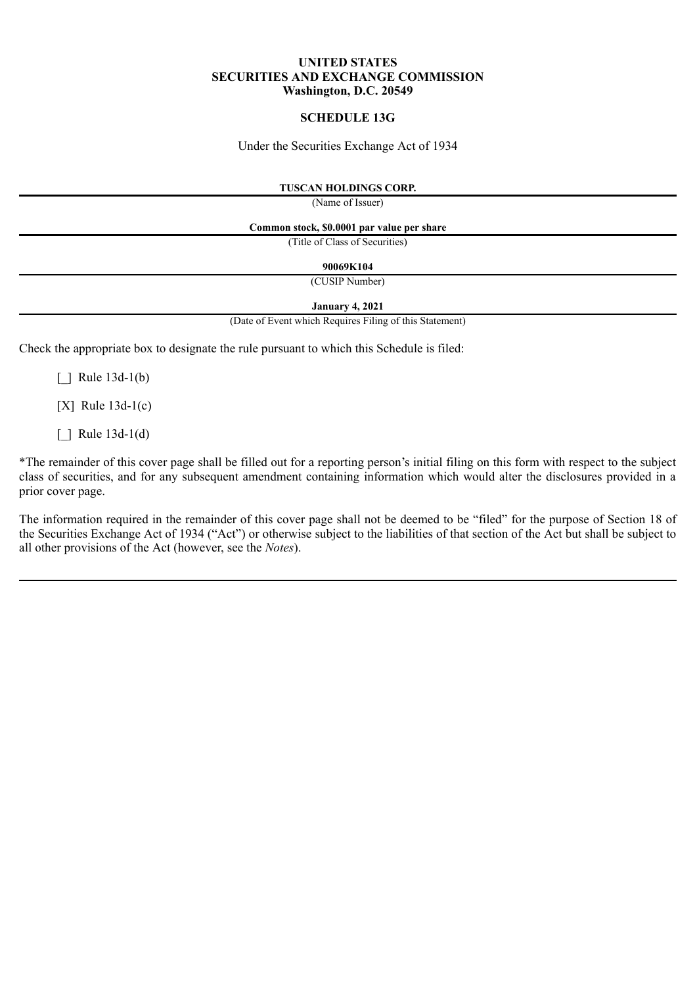# **UNITED STATES SECURITIES AND EXCHANGE COMMISSION Washington, D.C. 20549**

# **SCHEDULE 13G**

Under the Securities Exchange Act of 1934

## **TUSCAN HOLDINGS CORP.**

(Name of Issuer)

**Common stock, \$0.0001 par value per share**

(Title of Class of Securities)

**90069K104**

(CUSIP Number)

**January 4, 2021**

(Date of Event which Requires Filing of this Statement)

Check the appropriate box to designate the rule pursuant to which this Schedule is filed:

 $\lceil$  | Rule 13d-1(b)

[X] Rule 13d-1(c)

 $\lceil$  | Rule 13d-1(d)

\*The remainder of this cover page shall be filled out for a reporting person's initial filing on this form with respect to the subject class of securities, and for any subsequent amendment containing information which would alter the disclosures provided in a prior cover page.

The information required in the remainder of this cover page shall not be deemed to be "filed" for the purpose of Section 18 of the Securities Exchange Act of 1934 ("Act") or otherwise subject to the liabilities of that section of the Act but shall be subject to all other provisions of the Act (however, see the *Notes*).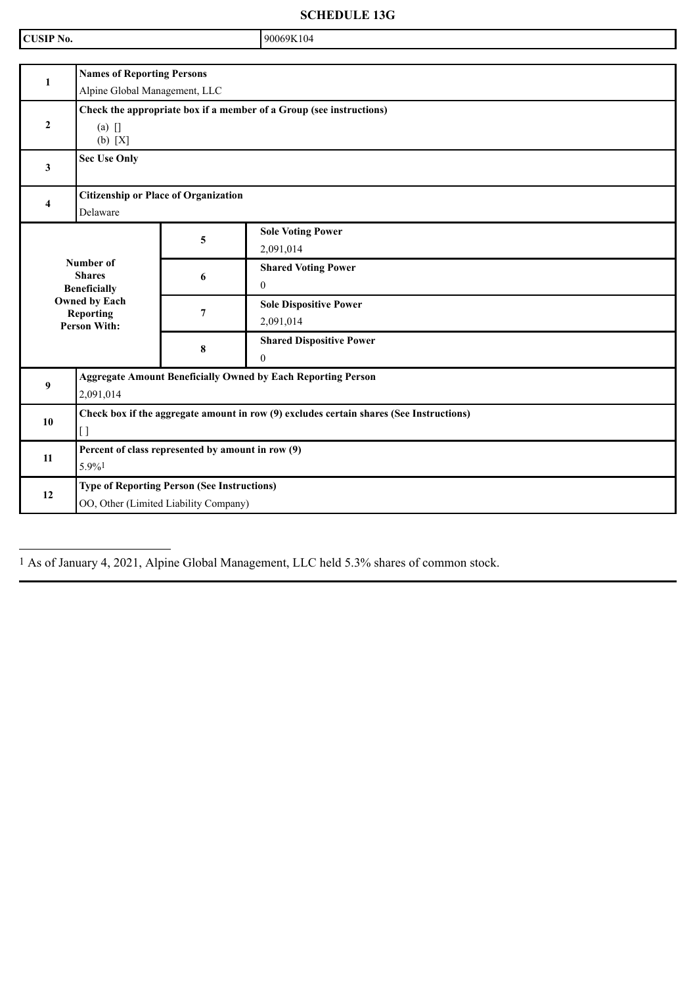**SCHEDULE 13G**

| <b>CUSIP No.</b> |                                                                                               |                | 90069K104                                   |  |
|------------------|-----------------------------------------------------------------------------------------------|----------------|---------------------------------------------|--|
|                  |                                                                                               |                |                                             |  |
| $\mathbf{1}$     | <b>Names of Reporting Persons</b><br>Alpine Global Management, LLC                            |                |                                             |  |
| $\overline{2}$   | Check the appropriate box if a member of a Group (see instructions)<br>$(a)$ []<br>(b) [X]    |                |                                             |  |
| $\mathbf{3}$     | <b>Sec Use Only</b>                                                                           |                |                                             |  |
| 4                | <b>Citizenship or Place of Organization</b><br>Delaware                                       |                |                                             |  |
|                  |                                                                                               | 5              | <b>Sole Voting Power</b><br>2,091,014       |  |
|                  | Number of<br><b>Shares</b><br><b>Beneficially</b>                                             | 6              | <b>Shared Voting Power</b><br>$\Omega$      |  |
|                  | <b>Owned by Each</b><br>Reporting<br><b>Person With:</b>                                      | $\overline{7}$ | <b>Sole Dispositive Power</b><br>2,091,014  |  |
|                  |                                                                                               | 8              | <b>Shared Dispositive Power</b><br>$\theta$ |  |
| 9                | <b>Aggregate Amount Beneficially Owned by Each Reporting Person</b><br>2,091,014              |                |                                             |  |
| 10               | Check box if the aggregate amount in row (9) excludes certain shares (See Instructions)<br>[] |                |                                             |  |
| 11               | Percent of class represented by amount in row (9)<br>5.9%1                                    |                |                                             |  |
| 12               | <b>Type of Reporting Person (See Instructions)</b><br>OO, Other (Limited Liability Company)   |                |                                             |  |

1 As of January 4, 2021, Alpine Global Management, LLC held 5.3% shares of common stock.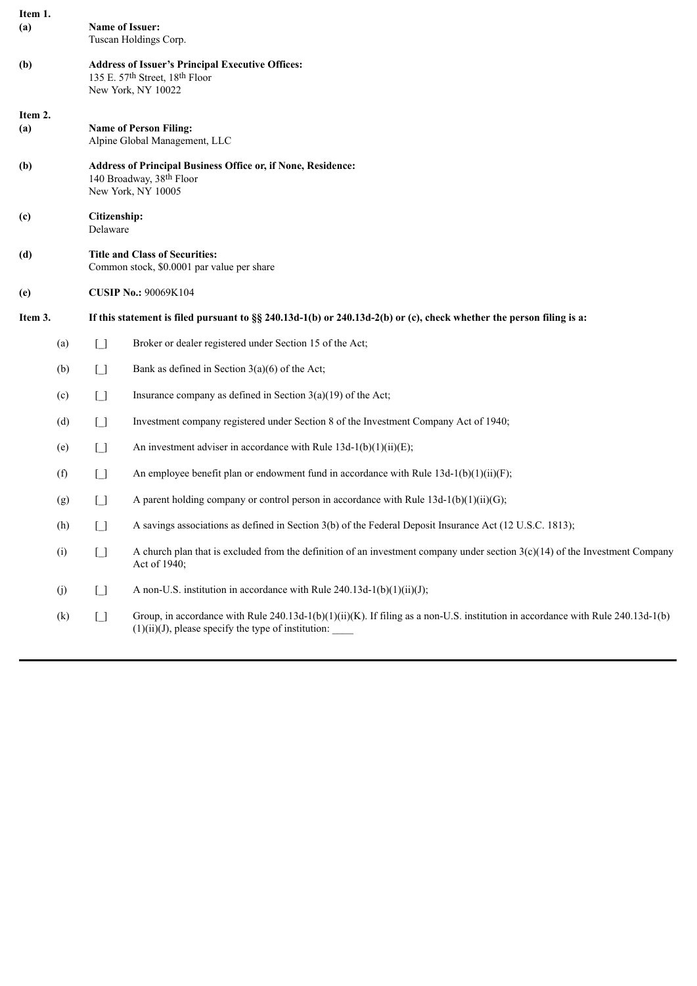| Item 1.        |     |                                                                                                                 |                                                                                                                                                                                                       |  |  |  |
|----------------|-----|-----------------------------------------------------------------------------------------------------------------|-------------------------------------------------------------------------------------------------------------------------------------------------------------------------------------------------------|--|--|--|
| (a)            |     |                                                                                                                 | <b>Name of Issuer:</b><br>Tuscan Holdings Corp.                                                                                                                                                       |  |  |  |
| (b)            |     | <b>Address of Issuer's Principal Executive Offices:</b><br>135 E. 57th Street, 18th Floor<br>New York, NY 10022 |                                                                                                                                                                                                       |  |  |  |
| Item 2.<br>(a) |     |                                                                                                                 | <b>Name of Person Filing:</b><br>Alpine Global Management, LLC                                                                                                                                        |  |  |  |
| (b)            |     | Address of Principal Business Office or, if None, Residence:<br>140 Broadway, 38th Floor<br>New York, NY 10005  |                                                                                                                                                                                                       |  |  |  |
| (c)            |     | Citizenship:<br>Delaware                                                                                        |                                                                                                                                                                                                       |  |  |  |
| (d)            |     | <b>Title and Class of Securities:</b><br>Common stock, \$0.0001 par value per share                             |                                                                                                                                                                                                       |  |  |  |
| (e)            |     | <b>CUSIP No.: 90069K104</b>                                                                                     |                                                                                                                                                                                                       |  |  |  |
| Item 3.        |     |                                                                                                                 | If this statement is filed pursuant to §§ 240.13d-1(b) or 240.13d-2(b) or (c), check whether the person filing is a:                                                                                  |  |  |  |
|                | (a) | $\Box$                                                                                                          | Broker or dealer registered under Section 15 of the Act;                                                                                                                                              |  |  |  |
|                | (b) | $\Box$                                                                                                          | Bank as defined in Section $3(a)(6)$ of the Act;                                                                                                                                                      |  |  |  |
|                | (c) | $\Box$                                                                                                          | Insurance company as defined in Section $3(a)(19)$ of the Act;                                                                                                                                        |  |  |  |
|                | (d) | $\Box$                                                                                                          | Investment company registered under Section 8 of the Investment Company Act of 1940;                                                                                                                  |  |  |  |
|                | (e) | U                                                                                                               | An investment adviser in accordance with Rule $13d-1(b)(1)(ii)(E)$ ;                                                                                                                                  |  |  |  |
|                | (f) | $\Box$                                                                                                          | An employee benefit plan or endowment fund in accordance with Rule $13d-1(b)(1)(ii)(F)$ ;                                                                                                             |  |  |  |
|                | (g) | $\Box$                                                                                                          | A parent holding company or control person in accordance with Rule $13d-1(b)(1)(ii)(G)$ ;                                                                                                             |  |  |  |
|                | (h) | Γl                                                                                                              | A savings associations as defined in Section 3(b) of the Federal Deposit Insurance Act (12 U.S.C. 1813);                                                                                              |  |  |  |
|                | (i) | $\lceil$ $\rceil$                                                                                               | A church plan that is excluded from the definition of an investment company under section $3(c)(14)$ of the Investment Company<br>Act of 1940;                                                        |  |  |  |
|                | (j) | $\Box$                                                                                                          | A non-U.S. institution in accordance with Rule $240.13d-1(b)(1)(ii)(J)$ ;                                                                                                                             |  |  |  |
|                | (k) | $\begin{array}{c} \square \end{array}$                                                                          | Group, in accordance with Rule $240.13d-1(b)(1)(ii)(K)$ . If filing as a non-U.S. institution in accordance with Rule $240.13d-1(b)$<br>$(1)(ii)(J)$ , please specify the type of institution: $\_\_$ |  |  |  |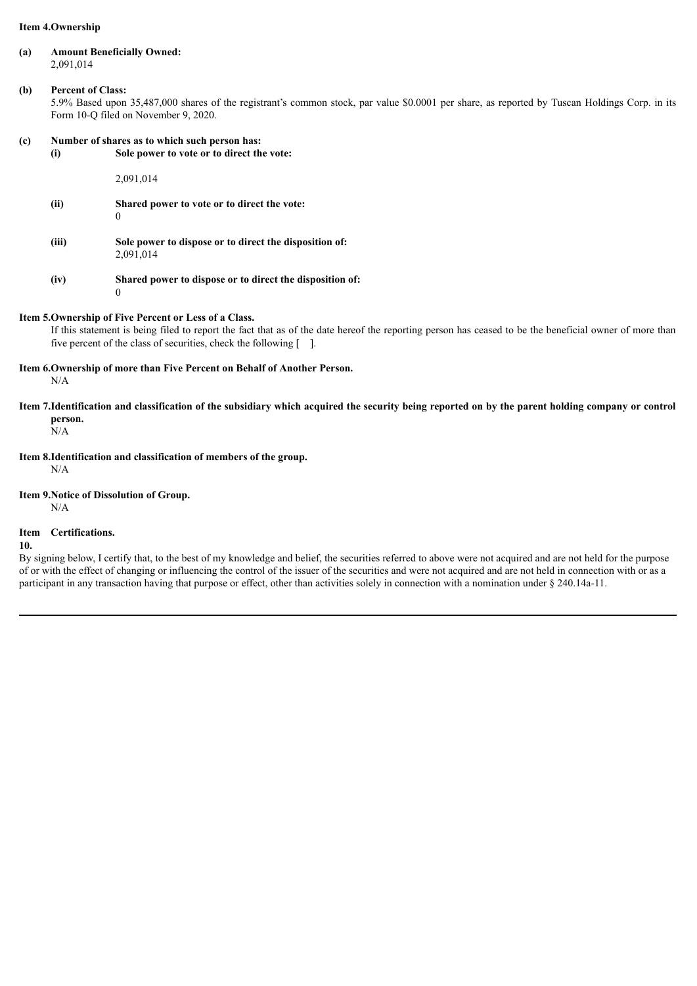## **Item 4.Ownership**

**(a) Amount Beneficially Owned:** 2,091,014

## **(b) Percent of Class:**

5.9% Based upon 35,487,000 shares of the registrant's common stock, par value \$0.0001 per share, as reported by Tuscan Holdings Corp. in its Form 10-Q filed on November 9, 2020.

## **(c) Number of shares as to which such person has:**

**(i) Sole power to vote or to direct the vote:**

2,091,014

- **(ii) Shared power to vote or to direct the vote:**  $\theta$
- **(iii) Sole power to dispose or to direct the disposition of:** 2,091,014
- **(iv) Shared power to dispose or to direct the disposition of:** 0

### **Item 5.Ownership of Five Percent or Less of a Class.**

If this statement is being filed to report the fact that as of the date hereof the reporting person has ceased to be the beneficial owner of more than five percent of the class of securities, check the following  $\lceil \quad \rceil$ .

**Item 6.Ownership of more than Five Percent on Behalf of Another Person.**

N/A

Item 7.Identification and classification of the subsidiary which acquired the security being reported on by the parent holding company or control **person.**

 $N/A$ 

**Item 8.Identification and classification of members of the group.**

N/A

**Item 9.Notice of Dissolution of Group.**

N/A

#### **Item Certifications.**

**10.**

By signing below, I certify that, to the best of my knowledge and belief, the securities referred to above were not acquired and are not held for the purpose of or with the effect of changing or influencing the control of the issuer of the securities and were not acquired and are not held in connection with or as a participant in any transaction having that purpose or effect, other than activities solely in connection with a nomination under § 240.14a-11.